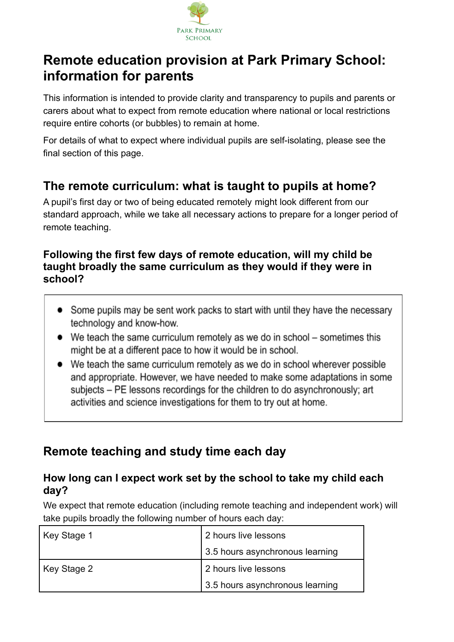

# **Remote education provision at Park Primary School: information for parents**

This information is intended to provide clarity and transparency to pupils and parents or carers about what to expect from remote education where national or local restrictions require entire cohorts (or bubbles) to remain at home.

For details of what to expect where individual pupils are self-isolating, please see the final section of this page.

### **The remote curriculum: what is taught to pupils at home?**

A pupil's first day or two of being educated remotely might look different from our standard approach, while we take all necessary actions to prepare for a longer period of remote teaching.

#### **Following the first few days of remote education, will my child be taught broadly the same curriculum as they would if they were in school?**

- Some pupils may be sent work packs to start with until they have the necessary technology and know-how.
- We teach the same curriculum remotely as we do in school sometimes this might be at a different pace to how it would be in school.
- We teach the same curriculum remotely as we do in school wherever possible and appropriate. However, we have needed to make some adaptations in some subjects – PE lessons recordings for the children to do asynchronously; art activities and science investigations for them to try out at home.

## **Remote teaching and study time each day**

### **How long can I expect work set by the school to take my child each day?**

We expect that remote education (including remote teaching and independent work) will take pupils broadly the following number of hours each day:

| Key Stage 1 | 2 hours live lessons            |
|-------------|---------------------------------|
|             | 3.5 hours asynchronous learning |
| Key Stage 2 | 2 hours live lessons            |
|             | 3.5 hours asynchronous learning |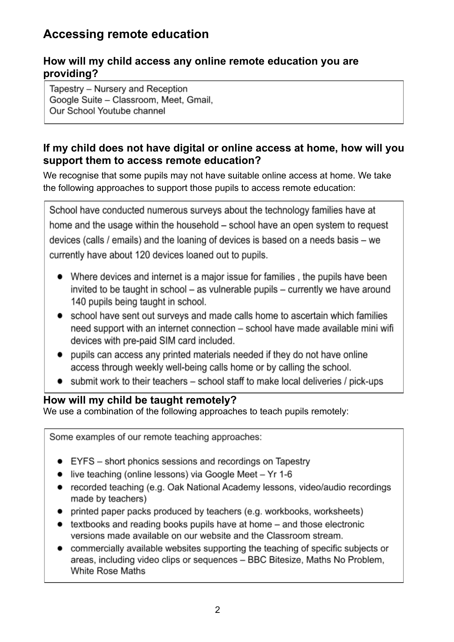### **Accessing remote education**

#### **How will my child access any online remote education you are providing?**

Tapestry - Nursery and Reception Google Suite - Classroom, Meet, Gmail, Our School Youtube channel

### **If my child does not have digital or online access at home, how will you support them to access remote education?**

We recognise that some pupils may not have suitable online access at home. We take the following approaches to support those pupils to access remote education:

School have conducted numerous surveys about the technology families have at home and the usage within the household – school have an open system to request devices (calls / emails) and the loaning of devices is based on a needs basis – we currently have about 120 devices loaned out to pupils.

- Where devices and internet is a major issue for families, the pupils have been invited to be taught in school – as vulnerable pupils – currently we have around 140 pupils being taught in school.
- school have sent out surveys and made calls home to ascertain which families need support with an internet connection - school have made available mini wifi devices with pre-paid SIM card included.
- pupils can access any printed materials needed if they do not have online  $\bullet$ access through weekly well-being calls home or by calling the school.
- submit work to their teachers school staff to make local deliveries / pick-ups

#### **How will my child be taught remotely?**

We use a combination of the following approaches to teach pupils remotely:

Some examples of our remote teaching approaches:

- EYFS short phonics sessions and recordings on Tapestry
- live teaching (online lessons) via Google Meet Yr 1-6
- recorded teaching (e.g. Oak National Academy lessons, video/audio recordings made by teachers)
- printed paper packs produced by teachers (e.g. workbooks, worksheets)
- textbooks and reading books pupils have at home and those electronic versions made available on our website and the Classroom stream.
- commercially available websites supporting the teaching of specific subjects or areas, including video clips or sequences - BBC Bitesize, Maths No Problem, White Rose Maths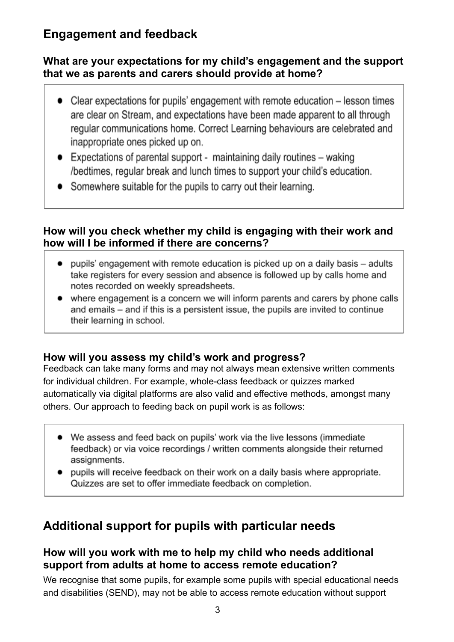### **Engagement and feedback**

### **What are your expectations for my child's engagement and the support that we as parents and carers should provide at home?**

- Clear expectations for pupils' engagement with remote education lesson times  $\bullet$ are clear on Stream, and expectations have been made apparent to all through regular communications home. Correct Learning behaviours are celebrated and inappropriate ones picked up on.
- $\bullet$  Expectations of parental support maintaining daily routines waking /bedtimes, regular break and lunch times to support your child's education.
- Somewhere suitable for the pupils to carry out their learning.

### **How will you check whether my child is engaging with their work and how will I be informed if there are concerns?**

- pupils' engagement with remote education is picked up on a daily basis adults take registers for every session and absence is followed up by calls home and notes recorded on weekly spreadsheets.
- where engagement is a concern we will inform parents and carers by phone calls and emails – and if this is a persistent issue, the pupils are invited to continue their learning in school.

### **How will you assess my child's work and progress?**

Feedback can take many forms and may not always mean extensive written comments for individual children. For example, whole-class feedback or quizzes marked automatically via digital platforms are also valid and effective methods, amongst many others. Our approach to feeding back on pupil work is as follows:

- We assess and feed back on pupils' work via the live lessons (immediate feedback) or via voice recordings / written comments alongside their returned assignments.
- pupils will receive feedback on their work on a daily basis where appropriate. Quizzes are set to offer immediate feedback on completion.

### **Additional support for pupils with particular needs**

#### **How will you work with me to help my child who needs additional support from adults at home to access remote education?**

We recognise that some pupils, for example some pupils with special educational needs and disabilities (SEND), may not be able to access remote education without support